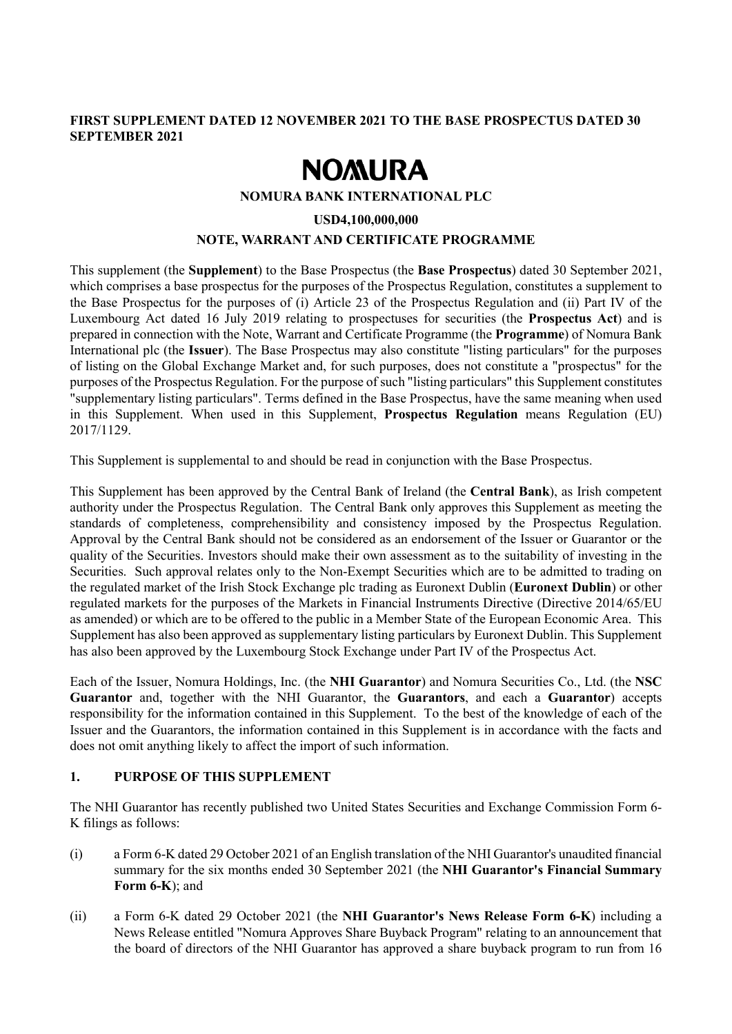# **FIRST SUPPLEMENT DATED 12 NOVEMBER 2021 TO THE BASE PROSPECTUS DATED 30 SEPTEMBER 2021**

# **NOMURA**

#### **NOMURA BANK INTERNATIONAL PLC**

#### **USD4,100,000,000**

### **NOTE, WARRANT AND CERTIFICATE PROGRAMME**

This supplement (the **Supplement**) to the Base Prospectus (the **Base Prospectus**) dated 30 September 2021, which comprises a base prospectus for the purposes of the Prospectus Regulation, constitutes a supplement to the Base Prospectus for the purposes of (i) Article 23 of the Prospectus Regulation and (ii) Part IV of the Luxembourg Act dated 16 July 2019 relating to prospectuses for securities (the **Prospectus Act**) and is prepared in connection with the Note, Warrant and Certificate Programme (the **Programme**) of Nomura Bank International plc (the **Issuer**). The Base Prospectus may also constitute "listing particulars" for the purposes of listing on the Global Exchange Market and, for such purposes, does not constitute a "prospectus" for the purposes of the Prospectus Regulation. For the purpose of such "listing particulars" this Supplement constitutes "supplementary listing particulars". Terms defined in the Base Prospectus, have the same meaning when used in this Supplement. When used in this Supplement, **Prospectus Regulation** means Regulation (EU) 2017/1129.

This Supplement is supplemental to and should be read in conjunction with the Base Prospectus.

This Supplement has been approved by the Central Bank of Ireland (the **Central Bank**), as Irish competent authority under the Prospectus Regulation. The Central Bank only approves this Supplement as meeting the standards of completeness, comprehensibility and consistency imposed by the Prospectus Regulation. Approval by the Central Bank should not be considered as an endorsement of the Issuer or Guarantor or the quality of the Securities. Investors should make their own assessment as to the suitability of investing in the Securities. Such approval relates only to the Non-Exempt Securities which are to be admitted to trading on the regulated market of the Irish Stock Exchange plc trading as Euronext Dublin (**Euronext Dublin**) or other regulated markets for the purposes of the Markets in Financial Instruments Directive (Directive 2014/65/EU as amended) or which are to be offered to the public in a Member State of the European Economic Area. This Supplement has also been approved as supplementary listing particulars by Euronext Dublin. This Supplement has also been approved by the Luxembourg Stock Exchange under Part IV of the Prospectus Act.

Each of the Issuer, Nomura Holdings, Inc. (the **NHI Guarantor**) and Nomura Securities Co., Ltd. (the **NSC Guarantor** and, together with the NHI Guarantor, the **Guarantors**, and each a **Guarantor**) accepts responsibility for the information contained in this Supplement. To the best of the knowledge of each of the Issuer and the Guarantors, the information contained in this Supplement is in accordance with the facts and does not omit anything likely to affect the import of such information.

### **1. PURPOSE OF THIS SUPPLEMENT**

The NHI Guarantor has recently published two United States Securities and Exchange Commission Form 6- K filings as follows:

- (i) a Form 6-K dated 29 October 2021 of an English translation of the NHI Guarantor's unaudited financial summary for the six months ended 30 September 2021 (the **NHI Guarantor's Financial Summary Form 6-K**); and
- (ii) a Form 6-K dated 29 October 2021 (the **NHI Guarantor's News Release Form 6-K**) including a News Release entitled "Nomura Approves Share Buyback Program" relating to an announcement that the board of directors of the NHI Guarantor has approved a share buyback program to run from 16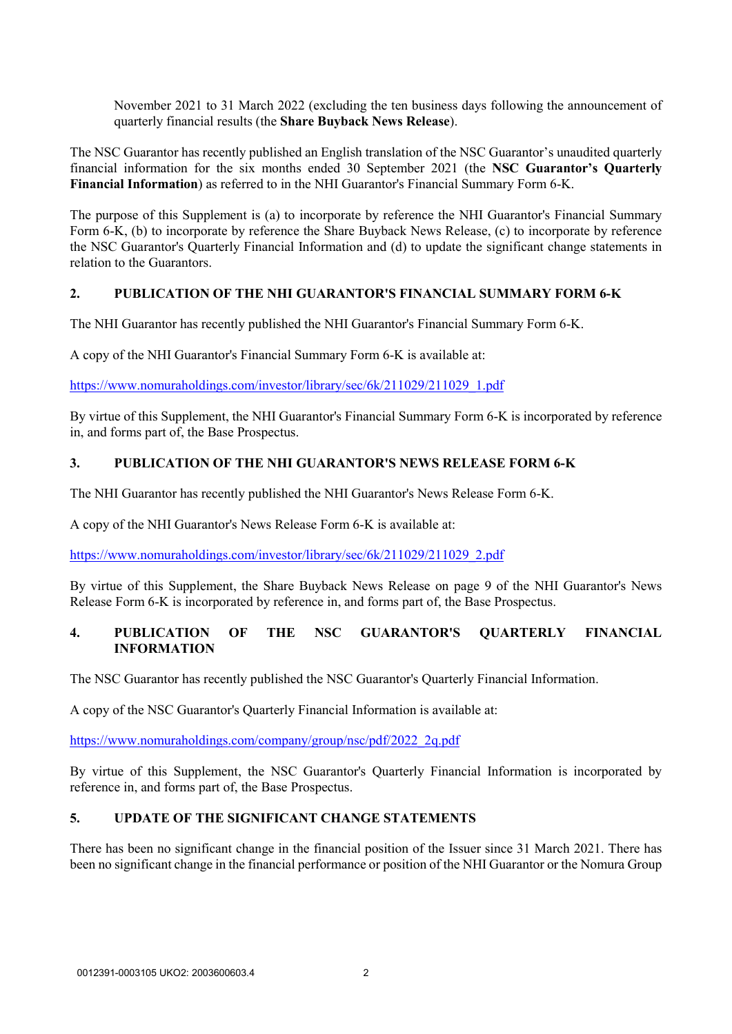November 2021 to 31 March 2022 (excluding the ten business days following the announcement of quarterly financial results (the **Share Buyback News Release**).

The NSC Guarantor has recently published an English translation of the NSC Guarantor's unaudited quarterly financial information for the six months ended 30 September 2021 (the **NSC Guarantor's Quarterly Financial Information**) as referred to in the NHI Guarantor's Financial Summary Form 6-K.

The purpose of this Supplement is (a) to incorporate by reference the NHI Guarantor's Financial Summary Form 6-K, (b) to incorporate by reference the Share Buyback News Release, (c) to incorporate by reference the NSC Guarantor's Quarterly Financial Information and (d) to update the significant change statements in relation to the Guarantors.

# **2. PUBLICATION OF THE NHI GUARANTOR'S FINANCIAL SUMMARY FORM 6-K**

The NHI Guarantor has recently published the NHI Guarantor's Financial Summary Form 6-K.

A copy of the NHI Guarantor's Financial Summary Form 6-K is available at:

[https://www.nomuraholdings.com/investor/library/sec/6k/211029/211029\\_1.pdf](https://www.nomuraholdings.com/investor/library/sec/6k/211029/211029_1.pdf)

By virtue of this Supplement, the NHI Guarantor's Financial Summary Form 6-K is incorporated by reference in, and forms part of, the Base Prospectus.

## **3. PUBLICATION OF THE NHI GUARANTOR'S NEWS RELEASE FORM 6-K**

The NHI Guarantor has recently published the NHI Guarantor's News Release Form 6-K.

A copy of the NHI Guarantor's News Release Form 6-K is available at:

[https://www.nomuraholdings.com/investor/library/sec/6k/211029/211029\\_2.pdf](https://www.nomuraholdings.com/investor/library/sec/6k/211029/211029_2.pdf)

By virtue of this Supplement, the Share Buyback News Release on page 9 of the NHI Guarantor's News Release Form 6-K is incorporated by reference in, and forms part of, the Base Prospectus.

# **4. PUBLICATION OF THE NSC GUARANTOR'S QUARTERLY FINANCIAL INFORMATION**

The NSC Guarantor has recently published the NSC Guarantor's Quarterly Financial Information.

A copy of the NSC Guarantor's Quarterly Financial Information is available at:

[https://www.nomuraholdings.com/company/group/nsc/pdf/2022\\_2q.pdf](https://www.nomuraholdings.com/company/group/nsc/pdf/2022_2q.pdf)

By virtue of this Supplement, the NSC Guarantor's Quarterly Financial Information is incorporated by reference in, and forms part of, the Base Prospectus.

# **5. UPDATE OF THE SIGNIFICANT CHANGE STATEMENTS**

There has been no significant change in the financial position of the Issuer since 31 March 2021. There has been no significant change in the financial performance or position of the NHI Guarantor or the Nomura Group